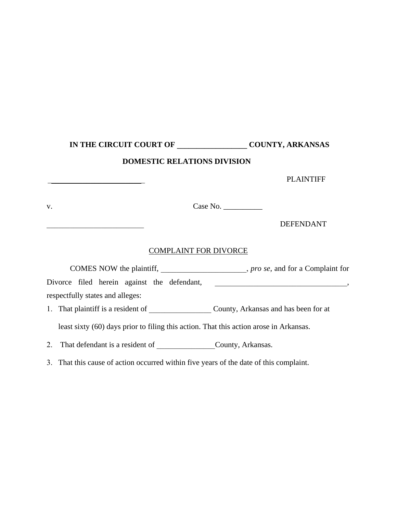## **IN THE CIRCUIT COURT OF \_\_\_\_\_\_\_\_\_\_\_\_\_\_\_\_\_\_ COUNTY, ARKANSAS**

## **DOMESTIC RELATIONS DIVISION**

PLAINTIFF v. Case No. \_\_\_\_\_\_\_\_\_\_ \_\_\_\_\_\_\_\_\_\_\_\_\_\_\_\_\_\_\_\_\_\_\_\_\_ DEFENDANT COMPLAINT FOR DIVORCE COMES NOW the plaintiff, \_\_\_\_\_\_\_\_\_\_\_\_\_\_\_\_\_\_\_\_\_\_, *pro se*, and for a Complaint for Divorce filed herein against the defendant, \_\_\_\_\_\_\_\_\_\_\_\_\_\_\_\_\_\_\_\_\_\_\_\_\_\_\_\_\_\_, respectfully states and alleges: 1. That plaintiff is a resident of \_\_\_\_\_\_\_\_\_\_\_\_\_\_\_\_\_\_\_\_\_\_\_\_\_\_\_\_\_\_\_\_\_County, Arkansas and has been for at least sixty (60) days prior to filing this action. That this action arose in Arkansas. 2. That defendant is a resident of \_\_\_\_\_\_\_\_\_\_\_\_\_\_\_\_\_\_\_\_\_County, Arkansas. 3. That this cause of action occurred within five years of the date of this complaint.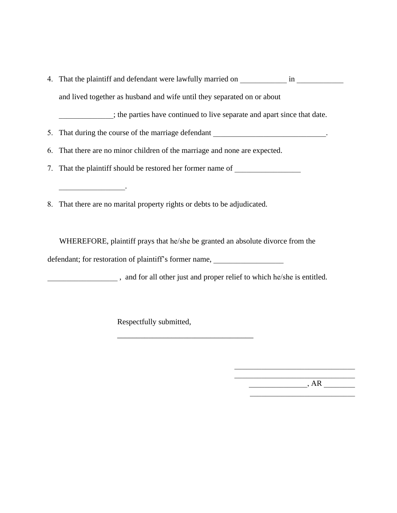4. That the plaintiff and defendant were lawfully married on  $\qquad \qquad$  in

and lived together as husband and wife until they separated on or about

\_\_\_\_\_\_\_\_\_\_\_\_\_\_; the parties have continued to live separate and apart since that date.

5. That during the course of the marriage defendant \_\_\_\_\_\_\_\_\_\_\_\_\_\_\_\_\_\_\_\_\_\_\_\_\_\_\_\_.

6. That there are no minor children of the marriage and none are expected.

7. That the plaintiff should be restored her former name of

8. That there are no marital property rights or debts to be adjudicated.

 $\overline{\phantom{a}}$  , and the set of  $\overline{\phantom{a}}$ 

WHEREFORE, plaintiff prays that he/she be granted an absolute divorce from the defendant; for restoration of plaintiff's former name,

\_\_\_\_\_\_\_\_\_\_\_\_\_\_\_\_\_\_\_\_\_\_\_\_\_\_\_\_\_\_\_\_\_\_\_

\_\_\_\_\_\_\_\_\_\_\_\_\_\_\_\_\_\_ , and for all other just and proper relief to which he/she is entitled.

Respectfully submitted,

 $\overline{\mathcal{A}}$   $\overline{\mathcal{A}}$   $\overline{\mathcal{R}}$   $\overline{\mathcal{A}}$   $\overline{\mathcal{A}}$   $\overline{\mathcal{A}}$   $\overline{\mathcal{A}}$   $\overline{\mathcal{A}}$   $\overline{\mathcal{A}}$   $\overline{\mathcal{A}}$   $\overline{\mathcal{A}}$   $\overline{\mathcal{A}}$   $\overline{\mathcal{A}}$   $\overline{\mathcal{A}}$   $\overline{\mathcal{A}}$   $\overline{\mathcal{A}}$   $\overline{\mathcal{A}}$   $\overline{\mathcal{A}}$   $\overline{\$ 

\_\_\_\_\_\_\_\_\_\_\_\_\_\_\_\_\_\_\_\_\_\_\_\_\_\_\_\_\_\_\_